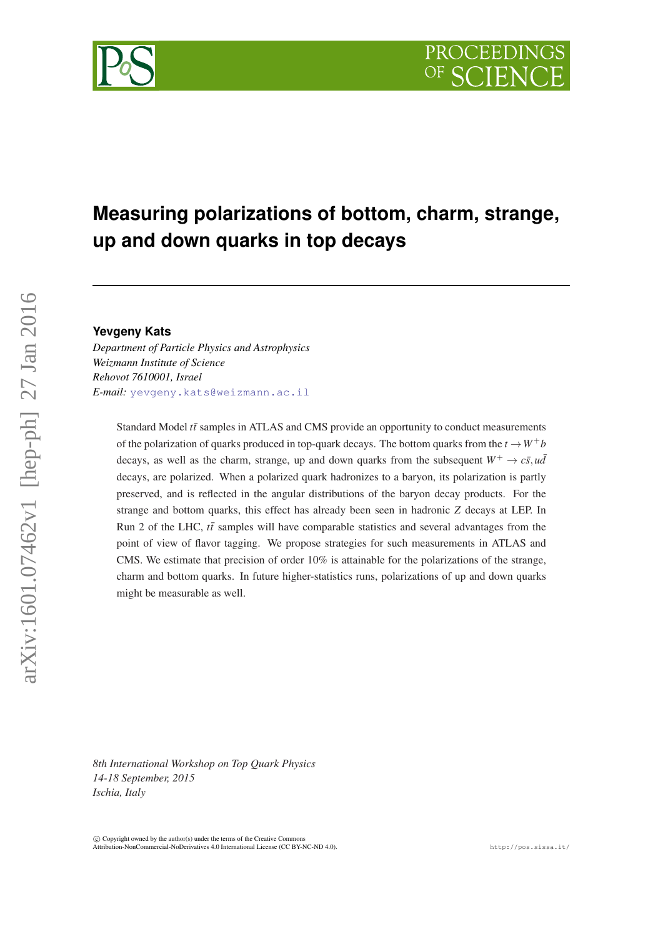## **Measuring polarizations of bottom, charm, strange, up and down quarks in top decays**

## **Yevgeny Kats**

*Department of Particle Physics and Astrophysics Weizmann Institute of Science Rehovot 7610001, Israel E-mail:* [yevgeny.kats@weizmann.ac.il](mailto:yevgeny.kats@weizmann.ac.il)

> Standard Model *tt*<sup> $\overline{t}$ </sup> samples in ATLAS and CMS provide an opportunity to conduct measurements of the polarization of quarks produced in top-quark decays. The bottom quarks from the  $t \rightarrow W^+b$ decays, as well as the charm, strange, up and down quarks from the subsequent  $W^+ \rightarrow c\bar{s}$ ,  $u\bar{d}$ decays, are polarized. When a polarized quark hadronizes to a baryon, its polarization is partly preserved, and is reflected in the angular distributions of the baryon decay products. For the strange and bottom quarks, this effect has already been seen in hadronic *Z* decays at LEP. In Run 2 of the LHC,  $t\bar{t}$  samples will have comparable statistics and several advantages from the point of view of flavor tagging. We propose strategies for such measurements in ATLAS and CMS. We estimate that precision of order 10% is attainable for the polarizations of the strange, charm and bottom quarks. In future higher-statistics runs, polarizations of up and down quarks might be measurable as well.

*8th International Workshop on Top Quark Physics 14-18 September, 2015 Ischia, Italy*

 $\circ$  Convright owned by the author(s) under the terms of the Creative Common Attribution-NonCommercial-NoDerivatives 4.0 International License (CC BY-NC-ND 4.0). http://pos.sissa.it/

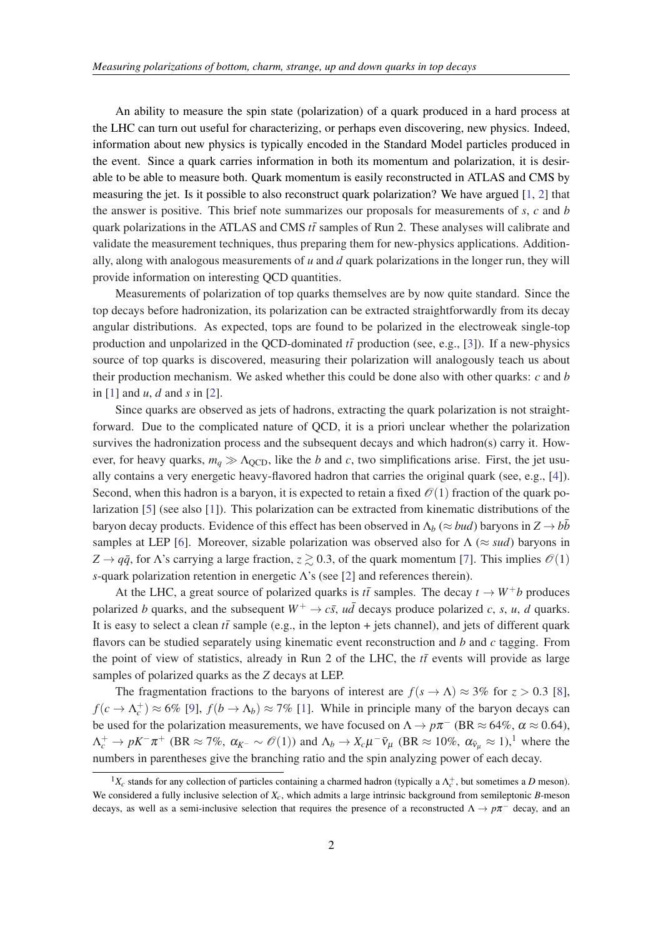An ability to measure the spin state (polarization) of a quark produced in a hard process at the LHC can turn out useful for characterizing, or perhaps even discovering, new physics. Indeed, information about new physics is typically encoded in the Standard Model particles produced in the event. Since a quark carries information in both its momentum and polarization, it is desirable to be able to measure both. Quark momentum is easily reconstructed in ATLAS and CMS by measuring the jet. Is it possible to also reconstruct quark polarization? We have argued [\[1,](#page-3-0) [2](#page-3-0)] that the answer is positive. This brief note summarizes our proposals for measurements of *s*, *c* and *b* quark polarizations in the ATLAS and CMS  $t\bar{t}$  samples of Run 2. These analyses will calibrate and validate the measurement techniques, thus preparing them for new-physics applications. Additionally, along with analogous measurements of *u* and *d* quark polarizations in the longer run, they will provide information on interesting QCD quantities.

Measurements of polarization of top quarks themselves are by now quite standard. Since the top decays before hadronization, its polarization can be extracted straightforwardly from its decay angular distributions. As expected, tops are found to be polarized in the electroweak single-top production and unpolarized in the QCD-dominated  $t\bar{t}$  production (see, e.g., [[3](#page-3-0)]). If a new-physics source of top quarks is discovered, measuring their polarization will analogously teach us about their production mechanism. We asked whether this could be done also with other quarks: *c* and *b* in [\[1\]](#page-3-0) and *u*, *d* and *s* in [\[2\]](#page-3-0).

Since quarks are observed as jets of hadrons, extracting the quark polarization is not straightforward. Due to the complicated nature of QCD, it is a priori unclear whether the polarization survives the hadronization process and the subsequent decays and which hadron(s) carry it. However, for heavy quarks,  $m_q \gg \Lambda_{\text{QCD}}$ , like the *b* and *c*, two simplifications arise. First, the jet usually contains a very energetic heavy-flavored hadron that carries the original quark (see, e.g., [\[4\]](#page-3-0)). Second, when this hadron is a baryon, it is expected to retain a fixed  $\mathcal{O}(1)$  fraction of the quark polarization [\[5\]](#page-3-0) (see also [[1](#page-3-0)]). This polarization can be extracted from kinematic distributions of the baryon decay products. Evidence of this effect has been observed in  $\Lambda_b$  ( $\approx$  *bud*) baryons in  $Z \rightarrow b\bar{b}$ samples at LEP [\[6](#page-3-0)]. Moreover, sizable polarization was observed also for  $\Lambda$  ( $\approx$  *sud*) baryons in  $Z \rightarrow q\bar{q}$ , for Λ's carrying a large fraction,  $z \gtrsim 0.3$ , of the quark momentum [\[7\]](#page-3-0). This implies  $\mathcal{O}(1)$ *s*-quark polarization retention in energetic Λ's (see [\[2\]](#page-3-0) and references therein).

At the LHC, a great source of polarized quarks is  $t\bar{t}$  samples. The decay  $t \to W^+b$  produces polarized *b* quarks, and the subsequent  $W^+ \rightarrow c\bar{s}$ ,  $u\bar{d}$  decays produce polarized *c*, *s*, *u*, *d* quarks. It is easy to select a clean  $t\bar{t}$  sample (e.g., in the lepton + jets channel), and jets of different quark flavors can be studied separately using kinematic event reconstruction and *b* and *c* tagging. From the point of view of statistics, already in Run 2 of the LHC, the  $t\bar{t}$  events will provide as large samples of polarized quarks as the *Z* decays at LEP.

The fragmentation fractions to the baryons of interest are  $f(s \to \Lambda) \approx 3\%$  for  $z > 0.3$  [\[8\]](#page-3-0),  $f(c \to \Lambda_c^+) \approx 6\%$  [[9](#page-3-0)],  $f(b \to \Lambda_b) \approx 7\%$  [\[1\]](#page-3-0). While in principle many of the baryon decays can be used for the polarization measurements, we have focused on  $\Lambda \to p\pi^-$  (BR  $\approx 64\%$ ,  $\alpha \approx 0.64$ ),  $\Lambda_c^+ \to pK^-\pi^+$  (BR  $\approx 7\%$ ,  $\alpha_{K^-} \sim \mathcal{O}(1)$ ) and  $\Lambda_b \to X_c\mu^-\bar{\nu}_\mu$  (BR  $\approx 10\%$ ,  $\alpha_{\bar{\nu}_\mu} \approx 1$ ),<sup>1</sup> where the numbers in parentheses give the branching ratio and the spin analyzing power of each decay.

<sup>&</sup>lt;sup>1</sup> $X_c$  stands for any collection of particles containing a charmed hadron (typically a  $\Lambda_c^+$ , but sometimes a *D* meson). We considered a fully inclusive selection of *Xc*, which admits a large intrinsic background from semileptonic *B*-meson decays, as well as a semi-inclusive selection that requires the presence of a reconstructed  $\Lambda \to p\pi^-$  decay, and an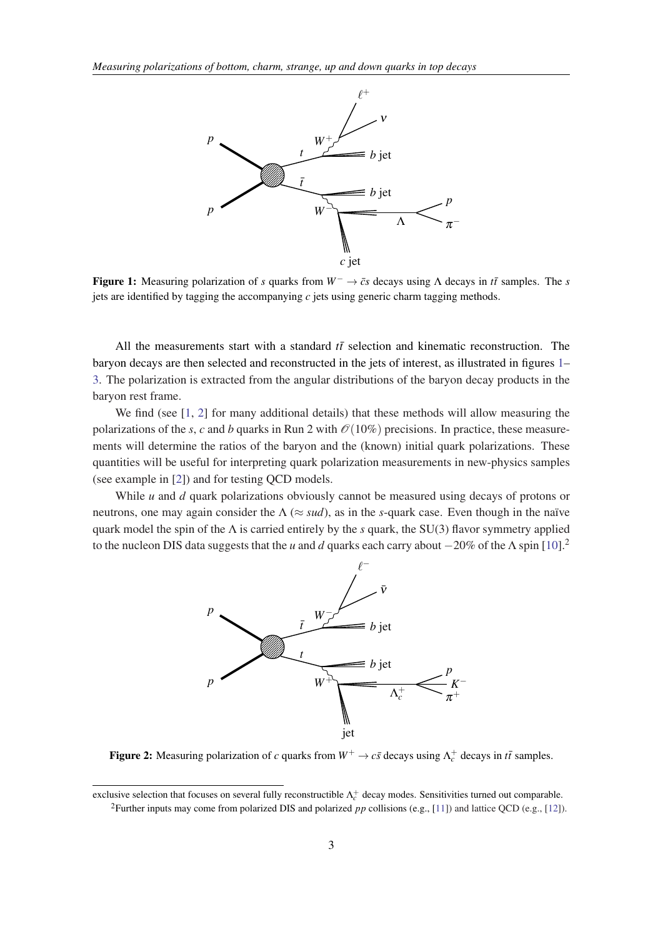

Figure 1: Measuring polarization of *s* quarks from  $W^- \rightarrow \bar{c}s$  decays using  $\Lambda$  decays in *tt* samples. The *s* jets are identified by tagging the accompanying *c* jets using generic charm tagging methods.

All the measurements start with a standard  $t\bar{t}$  selection and kinematic reconstruction. The baryon decays are then selected and reconstructed in the jets of interest, as illustrated in figures 1– [3.](#page-3-0) The polarization is extracted from the angular distributions of the baryon decay products in the baryon rest frame.

We find (see [\[1,](#page-3-0) [2](#page-3-0)] for many additional details) that these methods will allow measuring the polarizations of the *s*, *c* and *b* quarks in Run 2 with  $\mathcal{O}(10\%)$  precisions. In practice, these measurements will determine the ratios of the baryon and the (known) initial quark polarizations. These quantities will be useful for interpreting quark polarization measurements in new-physics samples (see example in [[2](#page-3-0)]) and for testing QCD models.

While *u* and *d* quark polarizations obviously cannot be measured using decays of protons or neutrons, one may again consider the  $\Lambda \approx \text{ sud}$ , as in the *s*-quark case. Even though in the naïve quark model the spin of the Λ is carried entirely by the *s* quark, the SU(3) flavor symmetry applied to the nucleon DIS data suggests that the *u* and *d* quarks each carry about  $-20\%$  of the  $\Lambda$  spin [\[10](#page-3-0)].<sup>2</sup>



Figure 2: Measuring polarization of *c* quarks from  $W^+ \to c\bar{s}$  decays using  $\Lambda_c^+$  decays in  $t\bar{t}$  samples.

exclusive selection that focuses on several fully reconstructible  $\Lambda_c^+$  decay modes. Sensitivities turned out comparable. <sup>2</sup>Further inputs may come from polarized DIS and polarized *pp* collisions (e.g., [\[11](#page-3-0)]) and lattice QCD (e.g., [\[12](#page-3-0)]).